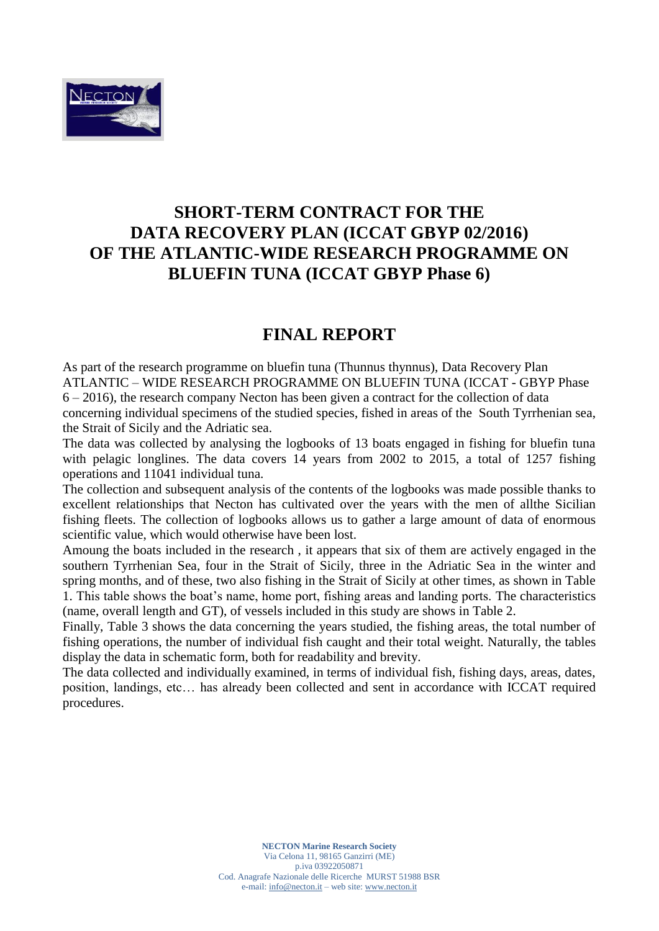

## **SHORT-TERM CONTRACT FOR THE DATA RECOVERY PLAN (ICCAT GBYP 02/2016) OF THE ATLANTIC-WIDE RESEARCH PROGRAMME ON BLUEFIN TUNA (ICCAT GBYP Phase 6)**

## **FINAL REPORT**

As part of the research programme on bluefin tuna (Thunnus thynnus), Data Recovery Plan ATLANTIC – WIDE RESEARCH PROGRAMME ON BLUEFIN TUNA (ICCAT - GBYP Phase 6 – 2016), the research company Necton has been given a contract for the collection of data concerning individual specimens of the studied species, fished in areas of the South Tyrrhenian sea, the Strait of Sicily and the Adriatic sea.

The data was collected by analysing the logbooks of 13 boats engaged in fishing for bluefin tuna with pelagic longlines. The data covers 14 years from 2002 to 2015, a total of 1257 fishing operations and 11041 individual tuna.

The collection and subsequent analysis of the contents of the logbooks was made possible thanks to excellent relationships that Necton has cultivated over the years with the men of allthe Sicilian fishing fleets. The collection of logbooks allows us to gather a large amount of data of enormous scientific value, which would otherwise have been lost.

Amoung the boats included in the research , it appears that six of them are actively engaged in the southern Tyrrhenian Sea, four in the Strait of Sicily, three in the Adriatic Sea in the winter and spring months, and of these, two also fishing in the Strait of Sicily at other times, as shown in Table 1. This table shows the boat's name, home port, fishing areas and landing ports. The characteristics (name, overall length and GT), of vessels included in this study are shows in Table 2.

Finally, Table 3 shows the data concerning the years studied, the fishing areas, the total number of fishing operations, the number of individual fish caught and their total weight. Naturally, the tables display the data in schematic form, both for readability and brevity.

The data collected and individually examined, in terms of individual fish, fishing days, areas, dates, position, landings, etc… has already been collected and sent in accordance with ICCAT required procedures.

> **NECTON Marine Research Society** Via Celona 11, 98165 Ganzirri (ME) p.iva 03922050871 Cod. Anagrafe Nazionale delle Ricerche MURST 51988 BSR e-mail[: info@necton.it](mailto:info@necton.it) – web site: [www.necton.it](http://www.necton.it/)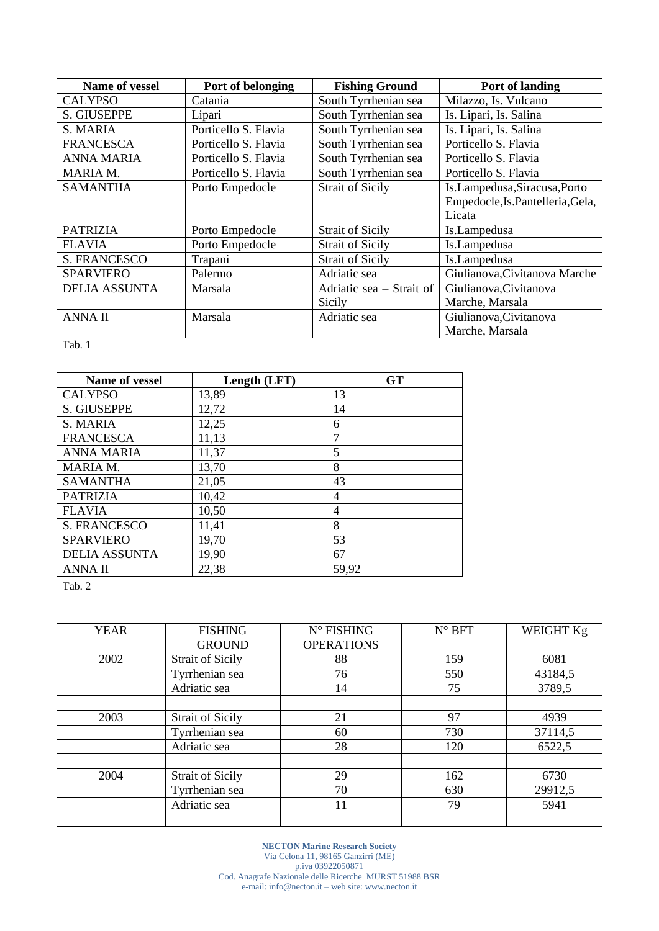| Name of vessel       | Port of belonging    | <b>Fishing Ground</b>    | Port of landing                   |
|----------------------|----------------------|--------------------------|-----------------------------------|
| <b>CALYPSO</b>       | Catania              | South Tyrrhenian sea     | Milazzo, Is. Vulcano              |
| S. GIUSEPPE          | Lipari               | South Tyrrhenian sea     | Is. Lipari, Is. Salina            |
| S. MARIA             | Porticello S. Flavia | South Tyrrhenian sea     | Is. Lipari, Is. Salina            |
| <b>FRANCESCA</b>     | Porticello S. Flavia | South Tyrrhenian sea     | Porticello S. Flavia              |
| <b>ANNA MARIA</b>    | Porticello S. Flavia | South Tyrrhenian sea     | Porticello S. Flavia              |
| MARIA M.             | Porticello S. Flavia | South Tyrrhenian sea     | Porticello S. Flavia              |
| <b>SAMANTHA</b>      | Porto Empedocle      | <b>Strait of Sicily</b>  | Is.Lampedusa, Siracusa, Porto     |
|                      |                      |                          | Empedocle, Is. Pantelleria, Gela, |
|                      |                      |                          | Licata                            |
| <b>PATRIZIA</b>      | Porto Empedocle      | <b>Strait of Sicily</b>  | Is.Lampedusa                      |
| <b>FLAVIA</b>        | Porto Empedocle      | <b>Strait of Sicily</b>  | Is.Lampedusa                      |
| <b>S. FRANCESCO</b>  | Trapani              | <b>Strait of Sicily</b>  | Is.Lampedusa                      |
| <b>SPARVIERO</b>     | Palermo              | Adriatic sea             | Giulianova, Civitanova Marche     |
| <b>DELIA ASSUNTA</b> | Marsala              | Adriatic sea – Strait of | Giulianova, Civitanova            |
|                      |                      | Sicily                   | Marche, Marsala                   |
| <b>ANNAII</b>        | Marsala              | Adriatic sea             | Giulianova, Civitanova            |
|                      |                      |                          | Marche, Marsala                   |

Tab. 1

| Name of vessel       | Length (LFT) | <b>GT</b>      |
|----------------------|--------------|----------------|
| <b>CALYPSO</b>       | 13,89        | 13             |
| <b>S. GIUSEPPE</b>   | 12,72        | 14             |
| S. MARIA             | 12,25        | 6              |
| <b>FRANCESCA</b>     | 11,13        | 7              |
| <b>ANNA MARIA</b>    | 11,37        | 5              |
| <b>MARIA M.</b>      | 13,70        | 8              |
| <b>SAMANTHA</b>      | 21,05        | 43             |
| <b>PATRIZIA</b>      | 10,42        | $\overline{4}$ |
| <b>FLAVIA</b>        | 10,50        | 4              |
| <b>S. FRANCESCO</b>  | 11,41        | 8              |
| <b>SPARVIERO</b>     | 19,70        | 53             |
| <b>DELIA ASSUNTA</b> | 19,90        | 67             |
| <b>ANNAII</b>        | 22,38        | 59,92          |

Tab. 2

| <b>YEAR</b> | <b>FISHING</b>          | $N^{\circ}$ FISHING | $N^{\circ}$ BFT | WEIGHT Kg |
|-------------|-------------------------|---------------------|-----------------|-----------|
|             | <b>GROUND</b>           | <b>OPERATIONS</b>   |                 |           |
| 2002        | <b>Strait of Sicily</b> | 88                  | 159             | 6081      |
|             | Tyrrhenian sea          | 76                  | 550             | 43184,5   |
|             | Adriatic sea            | 14                  | 75              | 3789,5    |
|             |                         |                     |                 |           |
| 2003        | <b>Strait of Sicily</b> | 21                  | 97              | 4939      |
|             | Tyrrhenian sea          | 60                  | 730             | 37114,5   |
|             | Adriatic sea            | 28                  | 120             | 6522,5    |
|             |                         |                     |                 |           |
| 2004        | <b>Strait of Sicily</b> | 29                  | 162             | 6730      |
|             | Tyrrhenian sea          | 70                  | 630             | 29912,5   |
|             | Adriatic sea            | 11                  | 79              | 5941      |
|             |                         |                     |                 |           |

**NECTON Marine Research Society** Via Celona 11, 98165 Ganzirri (ME) p.iva 03922050871 Cod. Anagrafe Nazionale delle Ricerche MURST 51988 BSR e-mail[: info@necton.it](mailto:info@necton.it) – web site: [www.necton.it](http://www.necton.it/)